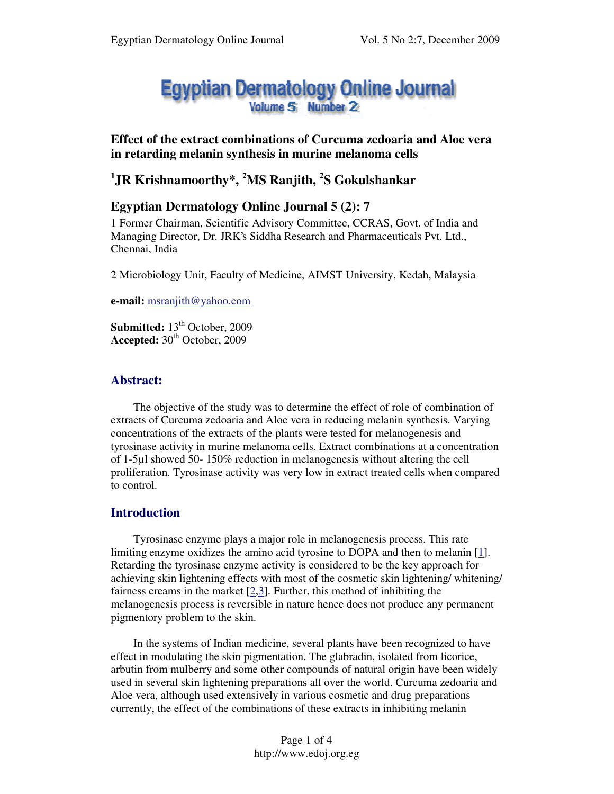# **Egyptian Dermatology Online Journal**

## **Effect of the extract combinations of Curcuma zedoaria and Aloe vera in retarding melanin synthesis in murine melanoma cells**

# **1 JR Krishnamoorthy\*, <sup>2</sup>MS Ranjith, 2 S Gokulshankar**

# **Egyptian Dermatology Online Journal 5 (2): 7**

1 Former Chairman, Scientific Advisory Committee, CCRAS, Govt. of India and Managing Director, Dr. JRK's Siddha Research and Pharmaceuticals Pvt. Ltd., Chennai, India

2 Microbiology Unit, Faculty of Medicine, AIMST University, Kedah, Malaysia

**e-mail:** msranjith@yahoo.com

**Submitted:** 13<sup>th</sup> October, 2009 Accepted:  $30<sup>th</sup>$  October, 2009

## **Abstract:**

The objective of the study was to determine the effect of role of combination of extracts of Curcuma zedoaria and Aloe vera in reducing melanin synthesis. Varying concentrations of the extracts of the plants were tested for melanogenesis and tyrosinase activity in murine melanoma cells. Extract combinations at a concentration of 1-5µl showed 50- 150% reduction in melanogenesis without altering the cell proliferation. Tyrosinase activity was very low in extract treated cells when compared to control.

## **Introduction**

Tyrosinase enzyme plays a major role in melanogenesis process. This rate limiting enzyme oxidizes the amino acid tyrosine to DOPA and then to melanin [1]. Retarding the tyrosinase enzyme activity is considered to be the key approach for achieving skin lightening effects with most of the cosmetic skin lightening/ whitening/ fairness creams in the market [2,3]. Further, this method of inhibiting the melanogenesis process is reversible in nature hence does not produce any permanent pigmentory problem to the skin.

In the systems of Indian medicine, several plants have been recognized to have effect in modulating the skin pigmentation. The glabradin, isolated from licorice, arbutin from mulberry and some other compounds of natural origin have been widely used in several skin lightening preparations all over the world. Curcuma zedoaria and Aloe vera, although used extensively in various cosmetic and drug preparations currently, the effect of the combinations of these extracts in inhibiting melanin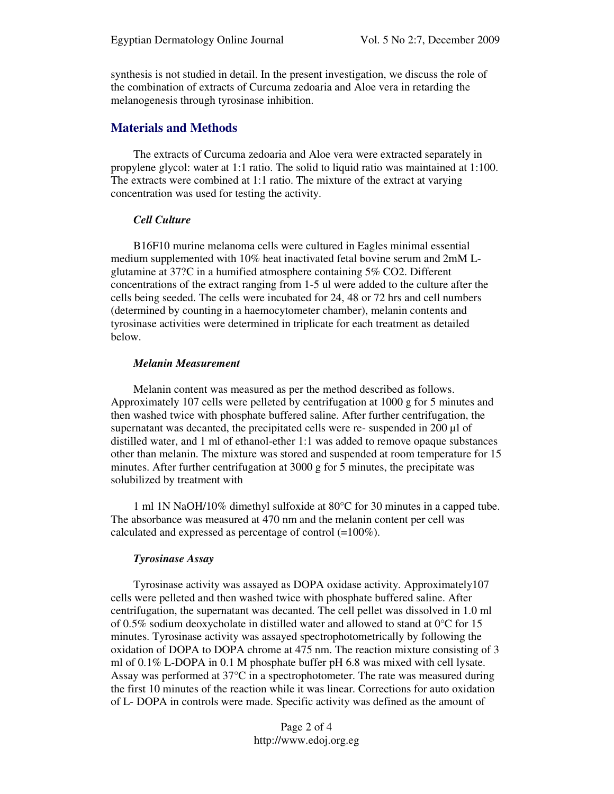synthesis is not studied in detail. In the present investigation, we discuss the role of the combination of extracts of Curcuma zedoaria and Aloe vera in retarding the melanogenesis through tyrosinase inhibition.

### **Materials and Methods**

The extracts of Curcuma zedoaria and Aloe vera were extracted separately in propylene glycol: water at 1:1 ratio. The solid to liquid ratio was maintained at 1:100. The extracts were combined at 1:1 ratio. The mixture of the extract at varying concentration was used for testing the activity.

#### *Cell Culture*

B16F10 murine melanoma cells were cultured in Eagles minimal essential medium supplemented with 10% heat inactivated fetal bovine serum and 2mM Lglutamine at 37?C in a humified atmosphere containing 5% CO2. Different concentrations of the extract ranging from 1-5 ul were added to the culture after the cells being seeded. The cells were incubated for 24, 48 or 72 hrs and cell numbers (determined by counting in a haemocytometer chamber), melanin contents and tyrosinase activities were determined in triplicate for each treatment as detailed below.

#### *Melanin Measurement*

Melanin content was measured as per the method described as follows. Approximately 107 cells were pelleted by centrifugation at 1000 g for 5 minutes and then washed twice with phosphate buffered saline. After further centrifugation, the supernatant was decanted, the precipitated cells were re- suspended in 200 µl of distilled water, and 1 ml of ethanol-ether 1:1 was added to remove opaque substances other than melanin. The mixture was stored and suspended at room temperature for 15 minutes. After further centrifugation at 3000 g for 5 minutes, the precipitate was solubilized by treatment with

1 ml 1N NaOH/10% dimethyl sulfoxide at 80°C for 30 minutes in a capped tube. The absorbance was measured at 470 nm and the melanin content per cell was calculated and expressed as percentage of control (=100%).

#### *Tyrosinase Assay*

Tyrosinase activity was assayed as DOPA oxidase activity. Approximately107 cells were pelleted and then washed twice with phosphate buffered saline. After centrifugation, the supernatant was decanted. The cell pellet was dissolved in 1.0 ml of 0.5% sodium deoxycholate in distilled water and allowed to stand at 0°C for 15 minutes. Tyrosinase activity was assayed spectrophotometrically by following the oxidation of DOPA to DOPA chrome at 475 nm. The reaction mixture consisting of 3 ml of 0.1% L-DOPA in 0.1 M phosphate buffer pH 6.8 was mixed with cell lysate. Assay was performed at 37°C in a spectrophotometer. The rate was measured during the first 10 minutes of the reaction while it was linear. Corrections for auto oxidation of L- DOPA in controls were made. Specific activity was defined as the amount of

> Page 2 of 4 http://www.edoj.org.eg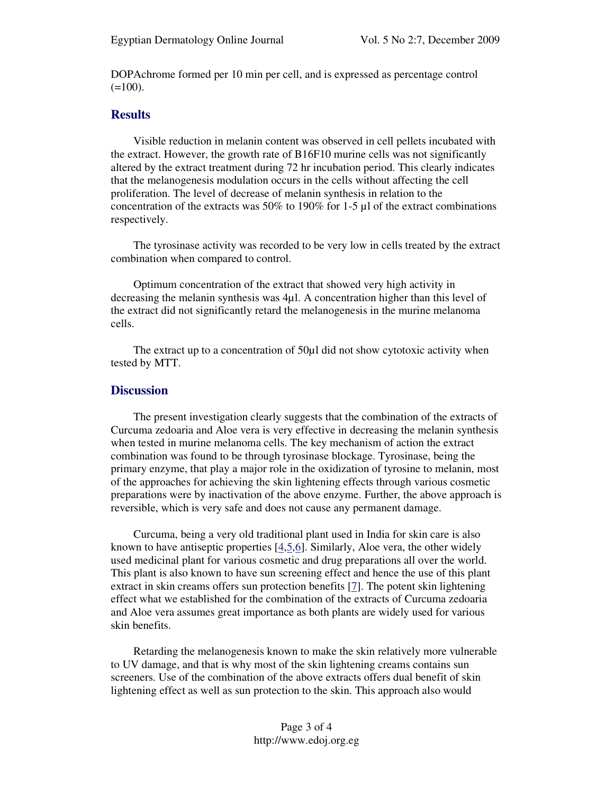DOPAchrome formed per 10 min per cell, and is expressed as percentage control  $(=100)$ .

#### **Results**

Visible reduction in melanin content was observed in cell pellets incubated with the extract. However, the growth rate of B16F10 murine cells was not significantly altered by the extract treatment during 72 hr incubation period. This clearly indicates that the melanogenesis modulation occurs in the cells without affecting the cell proliferation. The level of decrease of melanin synthesis in relation to the concentration of the extracts was 50% to 190% for 1-5 µl of the extract combinations respectively.

The tyrosinase activity was recorded to be very low in cells treated by the extract combination when compared to control.

Optimum concentration of the extract that showed very high activity in decreasing the melanin synthesis was 4µl. A concentration higher than this level of the extract did not significantly retard the melanogenesis in the murine melanoma cells.

The extract up to a concentration of 50µl did not show cytotoxic activity when tested by MTT.

#### **Discussion**

The present investigation clearly suggests that the combination of the extracts of Curcuma zedoaria and Aloe vera is very effective in decreasing the melanin synthesis when tested in murine melanoma cells. The key mechanism of action the extract combination was found to be through tyrosinase blockage. Tyrosinase, being the primary enzyme, that play a major role in the oxidization of tyrosine to melanin, most of the approaches for achieving the skin lightening effects through various cosmetic preparations were by inactivation of the above enzyme. Further, the above approach is reversible, which is very safe and does not cause any permanent damage.

Curcuma, being a very old traditional plant used in India for skin care is also known to have antiseptic properties [4,5,6]. Similarly, Aloe vera, the other widely used medicinal plant for various cosmetic and drug preparations all over the world. This plant is also known to have sun screening effect and hence the use of this plant extract in skin creams offers sun protection benefits [7]. The potent skin lightening effect what we established for the combination of the extracts of Curcuma zedoaria and Aloe vera assumes great importance as both plants are widely used for various skin benefits.

Retarding the melanogenesis known to make the skin relatively more vulnerable to UV damage, and that is why most of the skin lightening creams contains sun screeners. Use of the combination of the above extracts offers dual benefit of skin lightening effect as well as sun protection to the skin. This approach also would